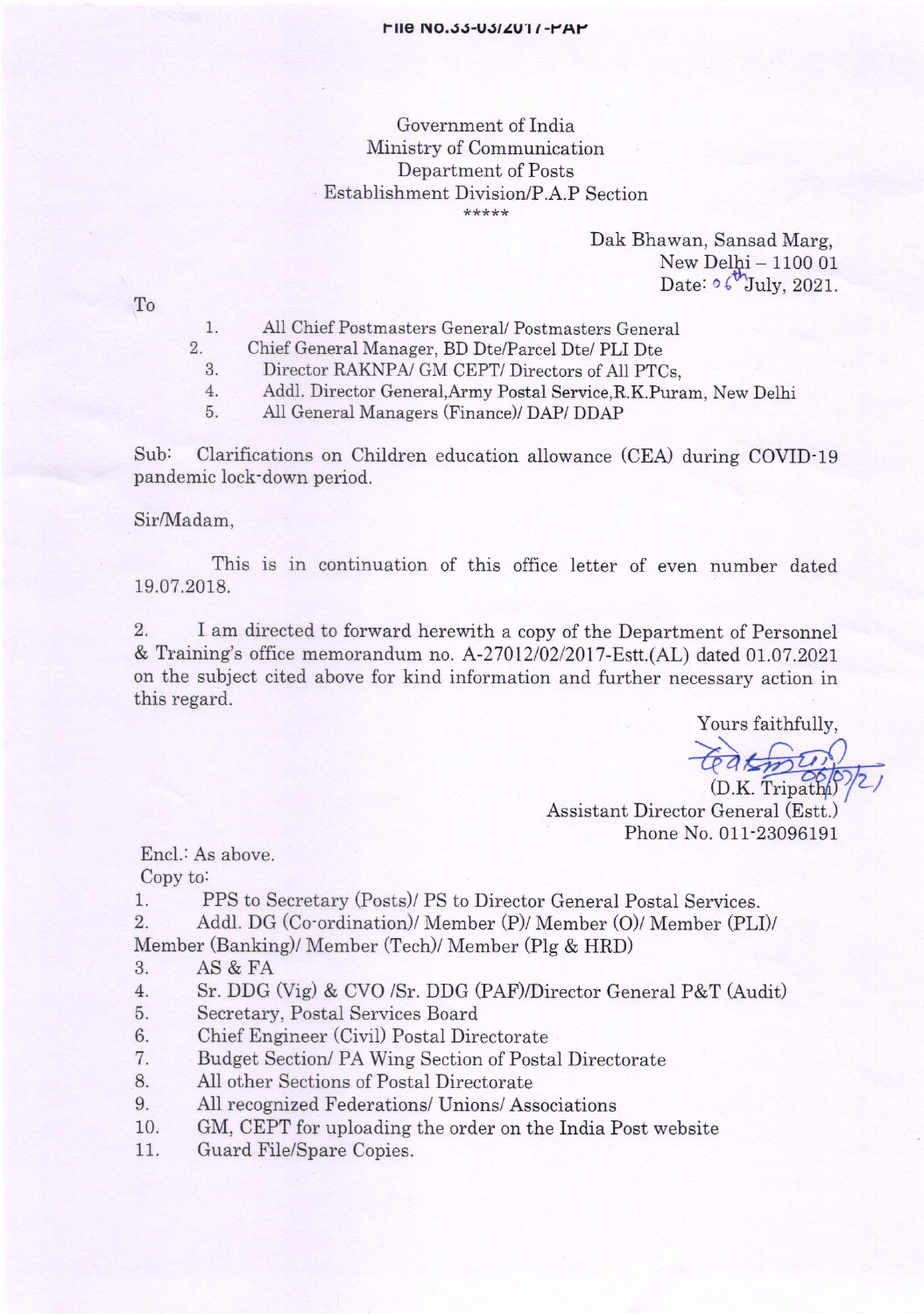## Government of India Ministry of Communication Department of Posts Establishment Division/P.A.P Section

Dak Bhawan, Sansad Marg,  $New Delhi - 110001$ Date:  $\circ \circ \text{t}^{\text{th}}$ July, 2021.

To

- All Chief Postmasters General/ Postmasters General 1
- Chief General Manager, BD Dte/Parcel Dte/ PLI Dte 2.
	- 3. Director RAKNPA/ GM CEPT/ Directors of A11 PTCs,
	- Addl. Director General,Army Postal Service,R.K.Puram, New Delhi 4
	- All General Managers (Finance)/ DAP/ DDAP 5

Sub: Clarifications on Children education allowance (CEA) during COVID-19 pandemic lock-down period.

Sir/Madam,

This is in continuation of this office letter of even number dated 19.07.2018.

2. I am directed to forward herewith a copy of the Department of Personnel & Training's office memorandum no. A-2701210212017-Estt.(AL) dated 01.07.2021 on the subject cited above for kind information and further necessary action in this regard.

Yours faithfully,

teatmy (D.K. Tripath)

Assistant Director Genera] (Estt.) Phone No. 011-23096191

Encl.: As above.

Copy to:

1. PPS to Secretary (Posts)/ PS to Director General Postal Services.

- 2. Addl. DG (Co-ordination)/ Member (P)/ Member (O)/ Member (PLI)/
- Member (Banking)/ Member (Tech)/ Member (Plg & HRD)
- 3. AS&FA
- 4. Sr. DDG (Vig) & CVO /Sr. DDG (PAF)/Director General P&T (Audit)
- 5. Secretary, Postal Services Board
- 6. Chief Engineer (Civil) Postal Directorate
- <sup>7</sup>. Budget Section/ PA Wing Section of Postal Directorate
- 8. All other Sections of Postal Directorate
- 9. All recognized Federations/ Unions/ Associations
- 10. GM, CEPT for uploading the order on the India Post website
- 11. Guard File/Spare Copies.